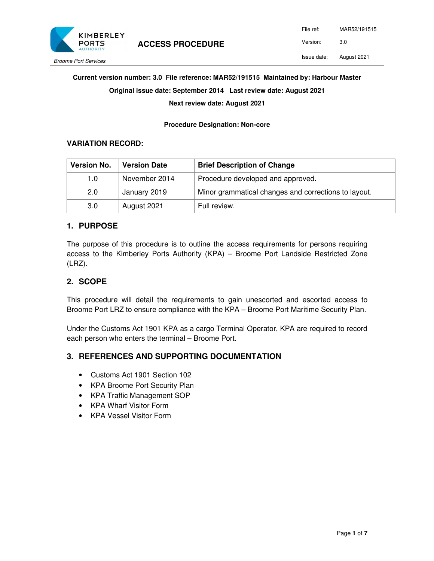

#### Issue date: August 2021

#### **Current version number: 3.0 File reference: MAR52/191515 Maintained by: Harbour Master**

**Original issue date: September 2014 Last review date: August 2021** 

**Next review date: August 2021** 

**Procedure Designation: Non-core** 

#### **VARIATION RECORD:**

| <b>Version No.</b> | <b>Version Date</b> | <b>Brief Description of Change</b>                   |  |
|--------------------|---------------------|------------------------------------------------------|--|
| 1.0                | November 2014       | Procedure developed and approved.                    |  |
| 2.0                | January 2019        | Minor grammatical changes and corrections to layout. |  |
| 3.0                | August 2021         | Full review.                                         |  |

### **1. PURPOSE**

The purpose of this procedure is to outline the access requirements for persons requiring access to the Kimberley Ports Authority (KPA) – Broome Port Landside Restricted Zone (LRZ).

### **2. SCOPE**

This procedure will detail the requirements to gain unescorted and escorted access to Broome Port LRZ to ensure compliance with the KPA – Broome Port Maritime Security Plan.

Under the Customs Act 1901 KPA as a cargo Terminal Operator, KPA are required to record each person who enters the terminal – Broome Port.

### **3. REFERENCES AND SUPPORTING DOCUMENTATION**

- Customs Act 1901 Section 102
- KPA Broome Port Security Plan
- KPA Traffic Management SOP
- KPA Wharf Visitor Form
- KPA Vessel Visitor Form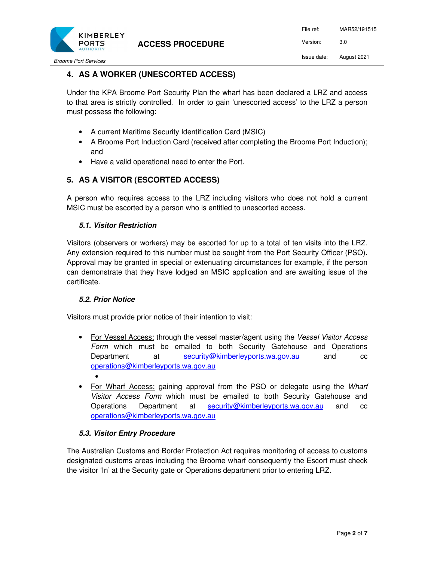

Broome Port Services

## **4. AS A WORKER (UNESCORTED ACCESS)**

Under the KPA Broome Port Security Plan the wharf has been declared a LRZ and access to that area is strictly controlled. In order to gain 'unescorted access' to the LRZ a person must possess the following:

- A current Maritime Security Identification Card (MSIC)
- A Broome Port Induction Card (received after completing the Broome Port Induction); and
- Have a valid operational need to enter the Port.

## **5. AS A VISITOR (ESCORTED ACCESS)**

A person who requires access to the LRZ including visitors who does not hold a current MSIC must be escorted by a person who is entitled to unescorted access.

### **5.1. Visitor Restriction**

Visitors (observers or workers) may be escorted for up to a total of ten visits into the LRZ. Any extension required to this number must be sought from the Port Security Officer (PSO). Approval may be granted in special or extenuating circumstances for example, if the person can demonstrate that they have lodged an MSIC application and are awaiting issue of the certificate.

### **5.2. Prior Notice**

Visitors must provide prior notice of their intention to visit:

- For Vessel Access: through the vessel master/agent using the Vessel Visitor Access Form which must be emailed to both Security Gatehouse and Operations Department at security@kimberleyports.wa.gov.au and cc operations@kimberleyports.wa.gov.au •
- For Wharf Access: gaining approval from the PSO or delegate using the Wharf Visitor Access Form which must be emailed to both Security Gatehouse and Operations Department at security@kimberleyports.wa.gov.au and cc operations@kimberleyports.wa.gov.au

### **5.3. Visitor Entry Procedure**

The Australian Customs and Border Protection Act requires monitoring of access to customs designated customs areas including the Broome wharf consequently the Escort must check the visitor 'In' at the Security gate or Operations department prior to entering LRZ.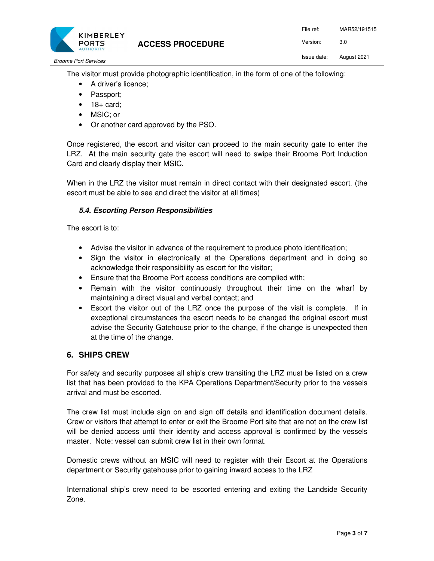

Broome Port Services

The visitor must provide photographic identification, in the form of one of the following:

- A driver's licence;
- Passport;
- $\bullet$  18+ card;
- MSIC; or
- Or another card approved by the PSO.

Once registered, the escort and visitor can proceed to the main security gate to enter the LRZ. At the main security gate the escort will need to swipe their Broome Port Induction Card and clearly display their MSIC.

When in the LRZ the visitor must remain in direct contact with their designated escort. (the escort must be able to see and direct the visitor at all times)

### **5.4. Escorting Person Responsibilities**

The escort is to:

- Advise the visitor in advance of the requirement to produce photo identification;
- Sign the visitor in electronically at the Operations department and in doing so acknowledge their responsibility as escort for the visitor;
- Ensure that the Broome Port access conditions are complied with;
- Remain with the visitor continuously throughout their time on the wharf by maintaining a direct visual and verbal contact; and
- Escort the visitor out of the LRZ once the purpose of the visit is complete. If in exceptional circumstances the escort needs to be changed the original escort must advise the Security Gatehouse prior to the change, if the change is unexpected then at the time of the change.

### **6. SHIPS CREW**

For safety and security purposes all ship's crew transiting the LRZ must be listed on a crew list that has been provided to the KPA Operations Department/Security prior to the vessels arrival and must be escorted.

The crew list must include sign on and sign off details and identification document details. Crew or visitors that attempt to enter or exit the Broome Port site that are not on the crew list will be denied access until their identity and access approval is confirmed by the vessels master. Note: vessel can submit crew list in their own format.

Domestic crews without an MSIC will need to register with their Escort at the Operations department or Security gatehouse prior to gaining inward access to the LRZ

International ship's crew need to be escorted entering and exiting the Landside Security Zone.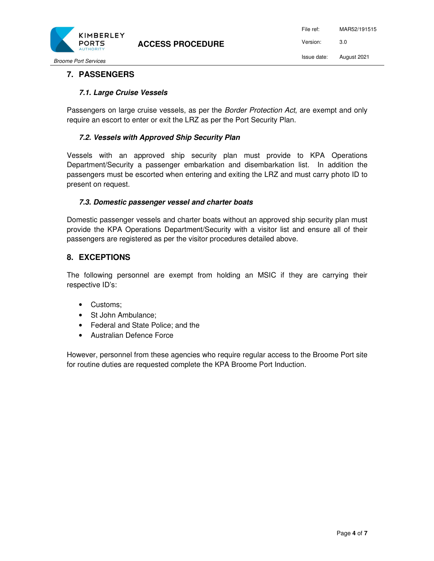

Broome Port Services

## **7. PASSENGERS**

### **7.1. Large Cruise Vessels**

Passengers on large cruise vessels, as per the *Border Protection Act*, are exempt and only require an escort to enter or exit the LRZ as per the Port Security Plan.

### **7.2. Vessels with Approved Ship Security Plan**

Vessels with an approved ship security plan must provide to KPA Operations Department/Security a passenger embarkation and disembarkation list. In addition the passengers must be escorted when entering and exiting the LRZ and must carry photo ID to present on request.

### **7.3. Domestic passenger vessel and charter boats**

Domestic passenger vessels and charter boats without an approved ship security plan must provide the KPA Operations Department/Security with a visitor list and ensure all of their passengers are registered as per the visitor procedures detailed above.

### **8. EXCEPTIONS**

The following personnel are exempt from holding an MSIC if they are carrying their respective ID's:

- Customs;
- St John Ambulance;
- Federal and State Police: and the
- Australian Defence Force

However, personnel from these agencies who require regular access to the Broome Port site for routine duties are requested complete the KPA Broome Port Induction.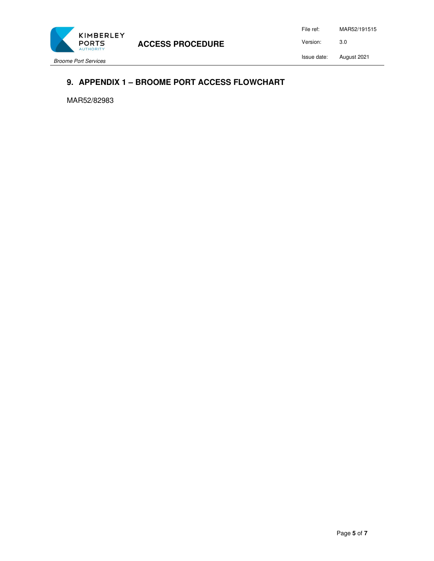

**ACCESS PROCEDURE** 

Broome Port Services

File ref: MAR52/191515 Version: 3.0 Issue date: August 2021

## **9. APPENDIX 1 – BROOME PORT ACCESS FLOWCHART**

MAR52/82983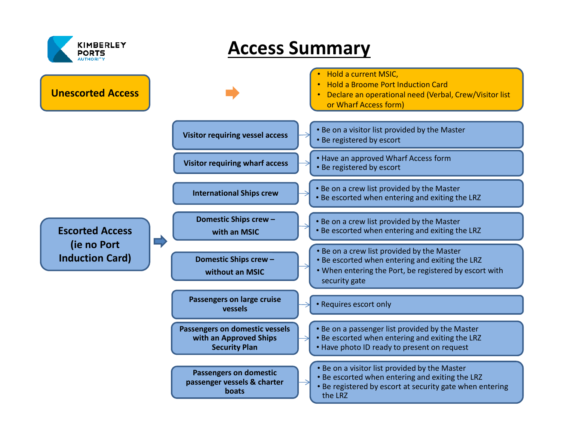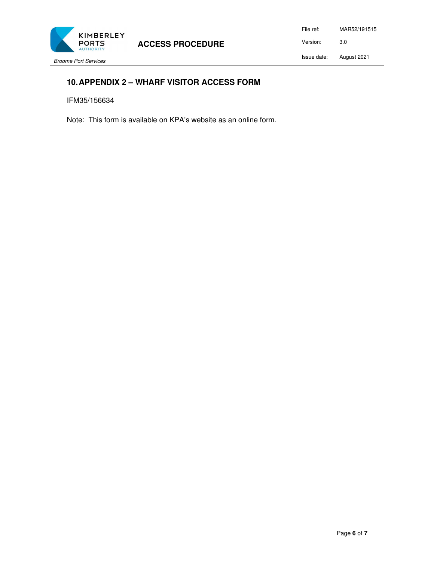

File ref: MAR52/191515 Version: 3.0 Issue date: August 2021

### Broome Port Services

## **10. APPENDIX 2 – WHARF VISITOR ACCESS FORM**

IFM35/156634

Note: This form is available on KPA's website as an online form.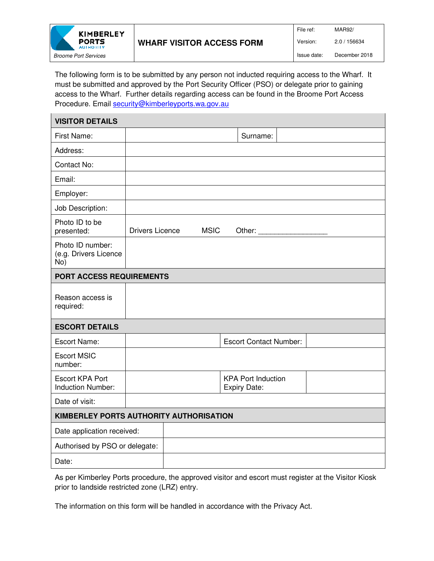

The following form is to be submitted by any person not inducted requiring access to the Wharf. It must be submitted and approved by the Port Security Officer (PSO) or delegate prior to gaining access to the Wharf. Further details regarding access can be found in the Broome Port Access Procedure. Email security@kimberleyports.wa.gov.au

| <b>VISITOR DETAILS</b>                             |                                                  |  |  |  |  |  |
|----------------------------------------------------|--------------------------------------------------|--|--|--|--|--|
| First Name:                                        | Surname:                                         |  |  |  |  |  |
| Address:                                           |                                                  |  |  |  |  |  |
| Contact No:                                        |                                                  |  |  |  |  |  |
| Email:                                             |                                                  |  |  |  |  |  |
| Employer:                                          |                                                  |  |  |  |  |  |
| Job Description:                                   |                                                  |  |  |  |  |  |
| Photo ID to be<br>presented:                       | <b>Drivers Licence</b><br><b>MSIC</b><br>Other:  |  |  |  |  |  |
| Photo ID number:<br>(e.g. Drivers Licence<br>No)   |                                                  |  |  |  |  |  |
| PORT ACCESS REQUIREMENTS                           |                                                  |  |  |  |  |  |
| Reason access is<br>required:                      |                                                  |  |  |  |  |  |
| <b>ESCORT DETAILS</b>                              |                                                  |  |  |  |  |  |
| <b>Escort Name:</b>                                | <b>Escort Contact Number:</b>                    |  |  |  |  |  |
| <b>Escort MSIC</b><br>number:                      |                                                  |  |  |  |  |  |
| <b>Escort KPA Port</b><br><b>Induction Number:</b> | <b>KPA Port Induction</b><br><b>Expiry Date:</b> |  |  |  |  |  |
| Date of visit:                                     |                                                  |  |  |  |  |  |
| KIMBERLEY PORTS AUTHORITY AUTHORISATION            |                                                  |  |  |  |  |  |
| Date application received:                         |                                                  |  |  |  |  |  |
| Authorised by PSO or delegate:                     |                                                  |  |  |  |  |  |
| Date:                                              |                                                  |  |  |  |  |  |

As per Kimberley Ports procedure, the approved visitor and escort must register at the Visitor Kiosk prior to landside restricted zone (LRZ) entry.

The information on this form will be handled in accordance with the Privacy Act.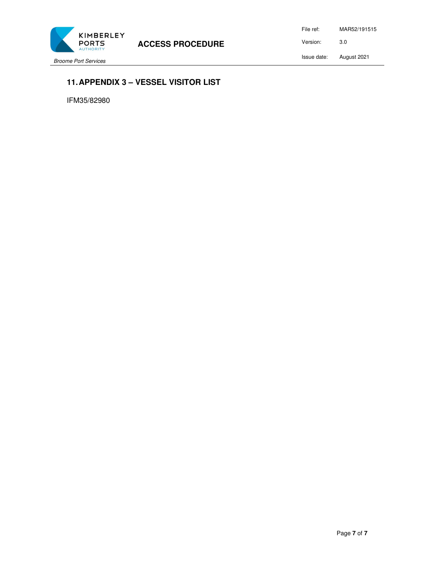

**ACCESS PROCEDURE** 

Broome Port Services

File ref: MAR52/191515 Version: 3.0 Issue date: August 2021

# **11. APPENDIX 3 – VESSEL VISITOR LIST**

IFM35/82980